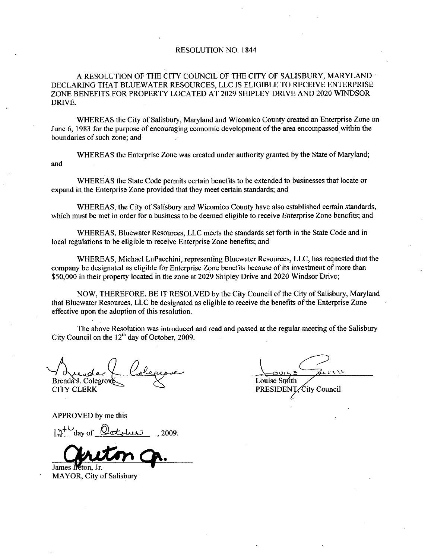#### RESOLUTION NO. 1844

A RESOLUTION OF THE CITY COUNCIL OF THE CITY OF SALISBURY MARYLAND DECLARING THAT BLUEWATER RESOURCES LLC IS ELIGIBLE TO RECEIVE ENTERPRISE ZONE BENEFITS FOR PROPERTY LOCATED AT2029 SHIPLEY DRNE AND 2020 WINDSOR DRIVE

WHEREAS the City of Salisbury, Maryland and Wicomico County created an Enterprise Zone on June 6, 1983 for the purpose of encouraging economic development of the area encompassed within the boundaries of such zone; and

WHEREAS the Enterprise Zone was created under authority granted by the State of Maryland; and

WHEREAS the State Code permits certain benefits to be extended to businesses that locate or expand in the Enterprise Zone provided that they meet certain standards; and

WHEREAS, the City of Salisbury and Wicomico County have also established certain standards, which must be met in order for a business to be deemed eligible to receive Enterprise Zone benefits; and

WHEREAS, Bluewater Resources, LLC meets the standards set forth in the State Code and in local regulations to be eligible to receive Enterprise Zone benefits; and

WHEREAS, Michael LuPacchini, representing Bluewater Resources, LLC, has requested that the company be designated as eligible for Enterprise Zone benefits because of its investment of more than \$50,000 in their property located in the zone at 2029 Shipley Drive and 2020 Windsor Drive;

NOW, THEREFORE, BE IT RESOLVED by the City Council of the City of Salisbury, Maryland that Bluewater Resources, LLC be designated as eligible to receive the benefits of the Enterprise Zone effective upon the adoption of this resolution.

The above Resolution was introduced and read and passed at the regular meeting of the Salisbury City Council on the  $12<sup>th</sup>$  day of October, 2009.

Irea Brenda Y. Colegrov CITY CLERK which must be met in order for a busines<br>
WHEREAS, Bluewater Resourc<br>
local regulations to be eligible to receive<br>
WHEREAS, Michael LuPacchin<br>
company be designated as eligible for En<br>
\$50,000 in their property located in

Louise Smith

PRESIDENT. City Council

APPROVED by me this

James Ireton. Jr. MAYOR, City of Salisbury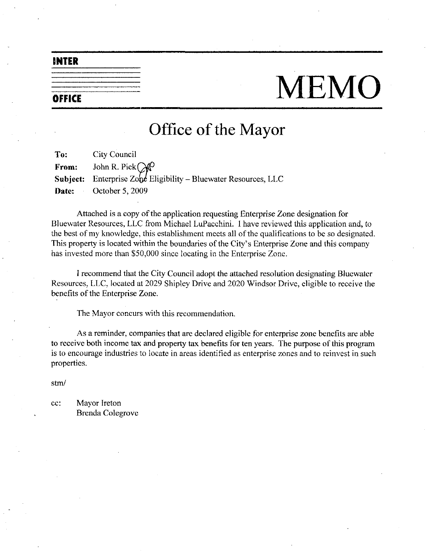#### INTER

# **PERICE** MEMO

## Office of the Mayor

To: City Council From: John R. Pick $\bigcap$ **Subject:** Enterprise Zone Eligibility – Bluewater Resources, LLC Date: October 5, 2009

Attached is a copy of the application requesting Enterprise Zone designation for Bluewater Resources, LLC from Michael LuPacchini. I have reviewed this application and, to the best of my knowledge, this establishment meets all of the qualifications to be so designated This property is located within th the best of my knowledge, this establishment meets all of the qualifications to be so designated. This property is located within the boundaries of the City's Enterprise Zone and this company has invested more than \$50,000 since locating in the Enterprise Zone.

<sup>I</sup> recommend that the City Council adopt the attached resolution designating Bluewater Resources, LLC, located at 2029 Shipley Drive and 2020 Windsor Drive, eligible to receive the benefits of the Enterprise Zone.

The Mayor concurs with this recommendation

As a reminder, companies that are declared eligible for enterprise zone benefits are able to receive both income tax and property tax benefits for ten years. The purpose of this program is to encourage industries to locate in areas identified as enterprise zones and to reinvest in such properties

stm

cc: Mayor Ireton Brenda Colegrove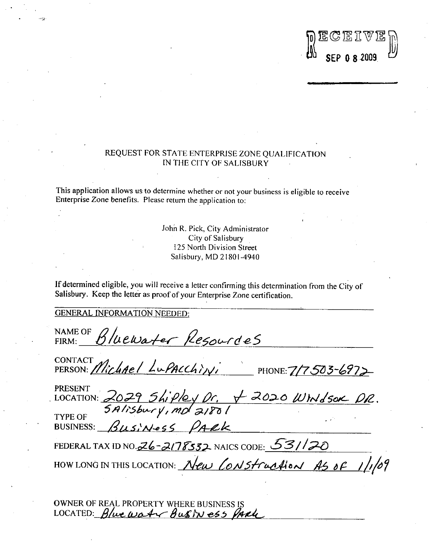

#### REQUEST FOR STATE ENTERPRISE ZONE QUALIFICATION IN THE CITY OF SALISBURY

This application allows us to determine whether or not your business is eligible to receive Enterprise Zone benefits. Please return the application to:

> John R. Pick, City Administrator City of Salisbury 125 North Division Street Salisbury, MD 21801-4940

If determined eligible, you will receive a letter confirming this determination from the City of Salisbury. Keep the letter as proof of your Enterprise Zone certification.

**GENERAL INFORMATION NEEDED:** 

NAME OF Bluewater Resourdes FIRM:

| PERSON: Michael LuPACChivi<br>PHONE: 7/7503-6972                                       |
|----------------------------------------------------------------------------------------|
| <b>PRESENT</b>                                                                         |
| PRESENT<br>LOCATION: 2029 Shipley Dr. + 2020 Whidsox DR.<br>TYPE OF SAISbury, mp 21801 |
| FEDERAL TAX ID NO. $Z6 - 2178332$ NAICS CODE: 53//20                                   |
| HOW LONG IN THIS LOCATION: New CONSTruction AS OF 1/1/09                               |
|                                                                                        |

OWNER OF REAL PROPERTY WHERE BUSINESS IS<br>LOCATED: Blue water Bush ess Park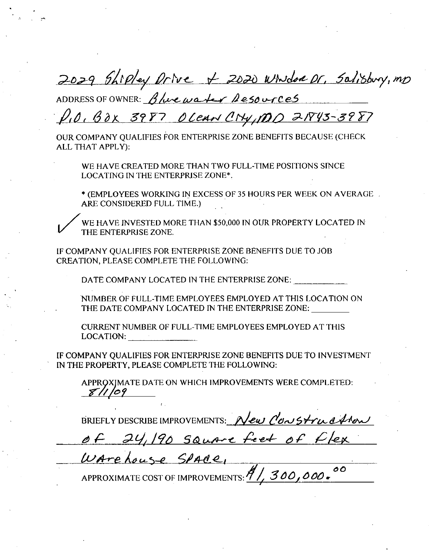$2029$  Thipley Drive + 2020 Windom Dr. Salisbury, mp<br>ADDRESS OF OWNER: Blue water Desources<br> $10.63x$  3987 OLEAN CITY, MDO 21843-3987

OUR COMPANY QUALIFIES FOR ENTERPRISE ZONE BENEFITS BECAUSE (CHECK ALL THAT APPLY):

WE HAVE CREATED MORE THAN TWO FULL-TIME POSITIONS SINCE LOCATING IN THE ENTERPRISE ZONE

\* (EMPLOYEES WORKING IN EXCESS OF 35 HOURS PER WEEK ON AVERAGE . ARE CONSIDERED FULL TIME

WE HAVE INVESTED MORE THAN \$50,000 IN OUR PROPERTY LOCATED IN THE ENTERPRISE ZONE.

IF COMPANY QUALIFIES FOR ENTERPRISE ZONE BENEFITS DUE TO JOB CREATION, PLEASE COMPLETE THE FOLLOWING:

DATE COMPANY LOCATED IN THE ENTERPRISE ZONE

NUMBER OF FULL TIMEEMPLOYEES EMPLOYED AT THIS LOCATION ON THE DATE COMPANY LOCATED IN THE ENTERPRISE ZONE

CURRENT NUMBER OF FULL TIMEEMPLOYEES EMPLOYED ATTHIS LOCATION

<sup>F</sup> COMPANY QUALIFIES FOR ENTERPRISE ZONE BENEFITS DUE 7O INVESTMENT IN THE PROPERTY, PLEASE COMPLETE THE FOLLOWING:

APPROXIMATE DATE ON WHICH IMPROVEMENTS WERE COMPLETED:  $81/109$ 

**BRIEFLY DESCRIBE IMPROVEMENTS**<br> **BRIEFLY DESCRIBE IMPROVEMENTS**<br> **BRIEFLY DESCRIPTION CONTROL**<br> **BANK** STRIP CONDITIES FOR ENTERPRISE ZONE ENDEPTS BECAUSE CHECK<br>
AT APPLY,<br>
CONTROL INTERFRESS FOR ENTERPRISE ZONE CONTROL OF 24,190 SQUARE feet of Flex<br>WAre house SPACE,<br>APPROXIMATE COST OF IMPROVEMENTS:  $\frac{\cancel{9}}{1}$ , 300,000.00